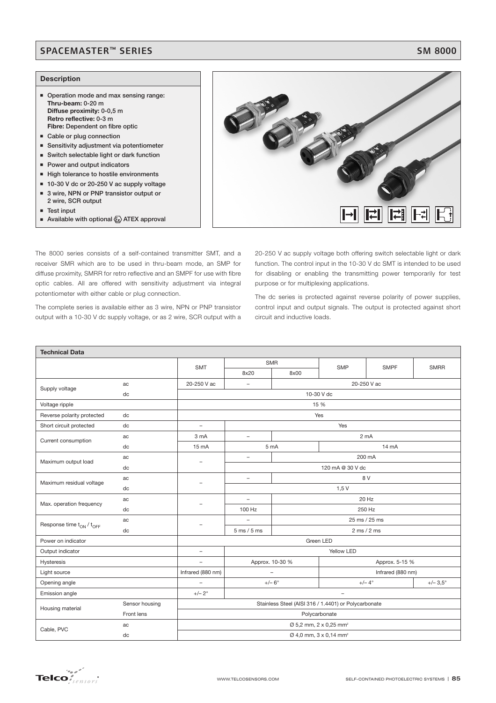### SPACEMASTER™ SERIES SM 8000

### **Description**

- **Operation mode and max sensing range: Thru-beam: 0-20 m Diffuse proximity: 0-0,5 m Retro reflective: 0-3 m Fibre: Dependent on fibre optic**
- **Example or plug connection**
- **Sensitivity adjustment via potentiometer**
- **Switch selectable light or dark function**
- **Power and output indicators**
- **High tolerance to hostile environments**
- 10-30 V dc or 20-250 V ac supply voltage
- 3 wire, NPN or PNP transistor output or **2 wire, SCR output**
- -**Test input**
- **EXED Available with optional**  $\langle \xi_{\mathbf{x}} \rangle$  **ATEX approval**

 $\boxed{\rightarrow}$  $\boxed{\rightleftarrows}$  $\boxed{\leftarrows}$  $\boxed{\leftarrows}$ 

The 8000 series consists of a self-contained transmitter SMT, and a receiver SMR which are to be used in thru-beam mode, an SMP for diffuse proximity, SMRR for retro reflective and an SMPF for use with fibre optic cables. All are offered with sensitivity adjustment via integral potentiometer with either cable or plug connection.

The complete series is available either as 3 wire, NPN or PNP transistor output with a 10-30 V dc supply voltage, or as 2 wire, SCR output with a 20-250 V ac supply voltage both offering switch selectable light or dark function. The control input in the 10-30 V dc SMT is intended to be used for disabling or enabling the transmitting power temporarily for test purpose or for multiplexing applications.

The dc series is protected against reverse polarity of power supplies, control input and output signals. The output is protected against short circuit and inductive loads.

| <b>Technical Data</b>                            |                |                          |                                                      |                          |                                                |                   |                   |  |  |  |
|--------------------------------------------------|----------------|--------------------------|------------------------------------------------------|--------------------------|------------------------------------------------|-------------------|-------------------|--|--|--|
|                                                  |                | <b>SMT</b>               | <b>SMR</b>                                           |                          | <b>SMP</b>                                     | <b>SMPF</b>       | <b>SMRR</b>       |  |  |  |
|                                                  |                |                          | 8x20                                                 | 8x00                     |                                                |                   |                   |  |  |  |
| Supply voltage                                   | ac             | 20-250 V ac              | 20-250 V ac<br>$\bar{\phantom{a}}$                   |                          |                                                |                   |                   |  |  |  |
|                                                  | dc             | 10-30 V dc               |                                                      |                          |                                                |                   |                   |  |  |  |
| Voltage ripple                                   |                | 15 %                     |                                                      |                          |                                                |                   |                   |  |  |  |
| Reverse polarity protected                       | dc             | Yes                      |                                                      |                          |                                                |                   |                   |  |  |  |
| Short circuit protected<br>dc<br>$\overline{a}$  |                |                          |                                                      |                          | Yes                                            |                   |                   |  |  |  |
| Current consumption                              | ac             | 3 mA                     | $\overline{\phantom{0}}$                             |                          |                                                | 2 <sub>m</sub> A  |                   |  |  |  |
|                                                  | dc             | $15 \text{ mA}$          |                                                      | 5 <sub>m</sub> A         |                                                | 14 mA             |                   |  |  |  |
| Maximum output load                              | ac             |                          | $\overline{\phantom{0}}$                             | 200 mA                   |                                                |                   |                   |  |  |  |
|                                                  | dc             |                          | 120 mA @ 30 V dc                                     |                          |                                                |                   |                   |  |  |  |
| Maximum residual voltage                         | ac             | $\overline{a}$           | $\overline{\phantom{0}}$                             | 8 V                      |                                                |                   |                   |  |  |  |
|                                                  | dc             |                          |                                                      |                          | 1,5V                                           |                   |                   |  |  |  |
| Max. operation frequency                         | ac             |                          | $\overline{\phantom{a}}$                             | 20 Hz                    |                                                |                   |                   |  |  |  |
|                                                  | dc             |                          | 100 Hz                                               | 250 Hz                   |                                                |                   |                   |  |  |  |
| Response time t <sub>ON</sub> / t <sub>OFF</sub> | ac             |                          | ٠                                                    | 25 ms / 25 ms            |                                                |                   |                   |  |  |  |
|                                                  | dc             |                          | $5 \text{ ms} / 5 \text{ ms}$                        | 2 ms / 2 ms              |                                                |                   |                   |  |  |  |
| Power on indicator                               |                | Green LED                |                                                      |                          |                                                |                   |                   |  |  |  |
| Output indicator                                 |                | $\overline{a}$           |                                                      |                          | Yellow LED                                     |                   |                   |  |  |  |
| Hysteresis                                       |                | $\overline{\phantom{0}}$ |                                                      | Approx. 10-30 %          | Approx. 5-15 %                                 |                   |                   |  |  |  |
| Light source                                     |                | Infrared (880 nm)        |                                                      | $\overline{\phantom{0}}$ |                                                | Infrared (880 nm) |                   |  |  |  |
| Opening angle                                    |                | $\overline{a}$           | $+/- 6^\circ$                                        |                          |                                                | $+/- 4^\circ$     | $+/- 3.5^{\circ}$ |  |  |  |
| Emission angle                                   |                | $+/-2^{\circ}$           |                                                      |                          | $\overline{\phantom{a}}$                       |                   |                   |  |  |  |
| Housing material                                 | Sensor housing |                          | Stainless Steel (AISI 316 / 1.4401) or Polycarbonate |                          |                                                |                   |                   |  |  |  |
|                                                  | Front lens     |                          |                                                      |                          | Polycarbonate                                  |                   |                   |  |  |  |
| Cable, PVC                                       | ac             |                          |                                                      |                          | Ø 5,2 mm, 2 x 0,25 mm <sup>2</sup>             |                   |                   |  |  |  |
|                                                  | dc             |                          |                                                      |                          | $\varnothing$ 4,0 mm, 3 x 0,14 mm <sup>2</sup> |                   |                   |  |  |  |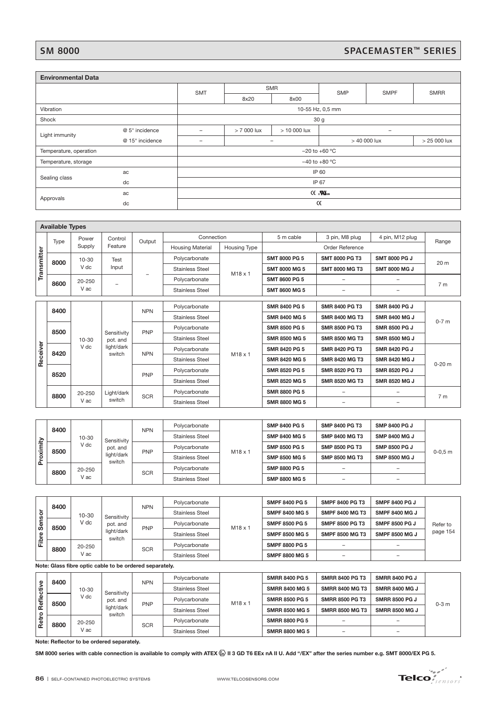# SM 8000 SPACEMASTER™ SERIES

| <b>Environmental Data</b> |                 |                          |                             |      |              |             |              |  |  |
|---------------------------|-----------------|--------------------------|-----------------------------|------|--------------|-------------|--------------|--|--|
|                           |                 | <b>SMT</b>               | <b>SMR</b>                  |      | <b>SMP</b>   | <b>SMPF</b> | <b>SMRR</b>  |  |  |
|                           |                 |                          | 8x20                        | 8x00 |              |             |              |  |  |
| Vibration                 |                 | 10-55 Hz, 0,5 mm         |                             |      |              |             |              |  |  |
| Shock                     |                 |                          | 30 <sub>g</sub>             |      |              |             |              |  |  |
| Light immunity            | @ 5° incidence  | $\overline{\phantom{0}}$ | > 10 000 lux<br>$>7000$ lux |      | -            |             |              |  |  |
|                           | @ 15° incidence | $\overline{\phantom{0}}$ | -                           |      | $>40000$ lux |             | > 25 000 lux |  |  |
| Temperature, operation    |                 | $-20$ to $+60$ °C        |                             |      |              |             |              |  |  |
| Temperature, storage      |                 | $-40$ to $+80$ °C        |                             |      |              |             |              |  |  |
|                           | ac              |                          |                             |      | IP 60        |             |              |  |  |
| Sealing class             | dc              |                          |                             |      | IP 67        |             |              |  |  |
|                           | ac              | $CE$ $AC$                |                             |      |              |             |              |  |  |
| Approvals                 | dc              | CE                       |                             |      |              |             |              |  |  |

|                         | <b>Available Types</b>                        |                   |                                                         |                        |                                                                                                                                                            |                      |                          |                          |                       |                       |                       |                   |  |  |  |  |  |  |  |     |                        |                |                       |                        |                       |
|-------------------------|-----------------------------------------------|-------------------|---------------------------------------------------------|------------------------|------------------------------------------------------------------------------------------------------------------------------------------------------------|----------------------|--------------------------|--------------------------|-----------------------|-----------------------|-----------------------|-------------------|--|--|--|--|--|--|--|-----|------------------------|----------------|-----------------------|------------------------|-----------------------|
|                         | Control<br>Power<br>Type<br>Output<br>Feature |                   |                                                         |                        | Connection                                                                                                                                                 |                      | 5 m cable                | 3 pin, M8 plug           | 4 pin, M12 plug       |                       |                       |                   |  |  |  |  |  |  |  |     |                        |                |                       |                        |                       |
|                         |                                               | Supply            |                                                         |                        | <b>Housing Material</b>                                                                                                                                    | <b>Housing Type</b>  |                          | Order Reference          |                       | Range                 |                       |                   |  |  |  |  |  |  |  |     |                        |                |                       |                        |                       |
|                         |                                               | 10-30             | Test                                                    |                        | Polycarbonate                                                                                                                                              |                      | <b>SMT 8000 PG 5</b>     | <b>SMT 8000 PG T3</b>    | <b>SMT 8000 PG J</b>  |                       |                       |                   |  |  |  |  |  |  |  |     |                        |                |                       |                        |                       |
| Transmitter             | 8000                                          | V dc              | Input                                                   |                        | <b>Stainless Steel</b>                                                                                                                                     |                      | <b>SMT 8000 MG 5</b>     | <b>SMT 8000 MG T3</b>    | <b>SMT 8000 MG J</b>  | 20 m                  |                       |                   |  |  |  |  |  |  |  |     |                        |                |                       |                        |                       |
|                         |                                               | 20-250            |                                                         |                        | Polycarbonate                                                                                                                                              | M <sub>18</sub> x 1  | <b>SMT 8600 PG 5</b>     | $\overline{\phantom{a}}$ |                       |                       |                       |                   |  |  |  |  |  |  |  |     |                        |                |                       |                        |                       |
|                         | 8600                                          | V ac              |                                                         |                        | <b>Stainless Steel</b>                                                                                                                                     |                      | <b>SMT 8600 MG 5</b>     |                          |                       | 7 <sub>m</sub>        |                       |                   |  |  |  |  |  |  |  |     |                        |                |                       |                        |                       |
|                         |                                               |                   |                                                         |                        |                                                                                                                                                            |                      |                          |                          |                       |                       |                       |                   |  |  |  |  |  |  |  |     |                        |                |                       |                        |                       |
|                         | 8400                                          |                   |                                                         | <b>NPN</b>             | Polycarbonate                                                                                                                                              |                      | SMR 8400 PG 5            | <b>SMR 8400 PG T3</b>    | <b>SMR 8400 PG J</b>  |                       |                       |                   |  |  |  |  |  |  |  |     |                        |                |                       |                        |                       |
|                         |                                               |                   |                                                         |                        | <b>Stainless Steel</b>                                                                                                                                     |                      | <b>SMR 8400 MG 5</b>     | <b>SMR 8400 MG T3</b>    | <b>SMR 8400 MG J</b>  | $0-7$ m               |                       |                   |  |  |  |  |  |  |  |     |                        |                |                       |                        |                       |
|                         | 8500                                          |                   | Sensitivity                                             | PNP                    | Polycarbonate                                                                                                                                              |                      | SMR 8500 PG 5            | <b>SMR 8500 PG T3</b>    | <b>SMR 8500 PG J</b>  |                       |                       |                   |  |  |  |  |  |  |  |     |                        |                |                       |                        |                       |
|                         |                                               | $10 - 30$<br>V dc | pot. and<br>light/dark                                  |                        | <b>Stainless Steel</b>                                                                                                                                     |                      | <b>SMR 8500 MG 5</b>     | <b>SMR 8500 MG T3</b>    | <b>SMR 8500 MG J</b>  |                       |                       |                   |  |  |  |  |  |  |  |     |                        |                |                       |                        |                       |
|                         | Receiver<br>8420<br>8520                      |                   | switch                                                  | <b>NPN</b>             | Polycarbonate                                                                                                                                              | $M18 \times 1$       | SMR 8420 PG 5            | <b>SMR 8420 PG T3</b>    | <b>SMR 8420 PG J</b>  |                       |                       |                   |  |  |  |  |  |  |  |     |                        |                |                       |                        |                       |
|                         |                                               |                   |                                                         |                        | <b>Stainless Steel</b>                                                                                                                                     |                      | SMR 8420 MG 5            | <b>SMR 8420 MG T3</b>    | <b>SMR 8420 MG J</b>  | $0 - 20$ m            |                       |                   |  |  |  |  |  |  |  |     |                        |                |                       |                        |                       |
|                         |                                               |                   |                                                         | <b>PNP</b>             | Polycarbonate                                                                                                                                              |                      | SMR 8520 PG 5            | <b>SMR 8520 PG T3</b>    | <b>SMR 8520 PG J</b>  | 7 <sub>m</sub>        |                       |                   |  |  |  |  |  |  |  |     |                        |                |                       |                        |                       |
|                         |                                               |                   |                                                         |                        | <b>Stainless Steel</b>                                                                                                                                     |                      | <b>SMR 8520 MG 5</b>     | <b>SMR 8520 MG T3</b>    | <b>SMR 8520 MG J</b>  |                       |                       |                   |  |  |  |  |  |  |  |     |                        |                |                       |                        |                       |
|                         | 8800                                          | 20-250            | Light/dark                                              | <b>SCR</b>             | Polycarbonate                                                                                                                                              |                      | <b>SMR 8800 PG 5</b>     | $\overline{\phantom{a}}$ |                       |                       |                       |                   |  |  |  |  |  |  |  |     |                        |                |                       |                        |                       |
|                         | V ac                                          | switch            |                                                         | <b>Stainless Steel</b> |                                                                                                                                                            | <b>SMR 8800 MG 5</b> | $\overline{\phantom{a}}$ |                          |                       |                       |                       |                   |  |  |  |  |  |  |  |     |                        |                |                       |                        |                       |
|                         |                                               |                   |                                                         |                        |                                                                                                                                                            |                      |                          |                          |                       |                       |                       |                   |  |  |  |  |  |  |  |     |                        |                |                       |                        |                       |
|                         | 8400                                          |                   | Sensitivity<br>pot. and<br>light/dark<br>switch         | <b>NPN</b>             | Polycarbonate                                                                                                                                              |                      | SMP 8400 PG 5            | <b>SMP 8400 PG T3</b>    | <b>SMP 8400 PG J</b>  | $0 - 0.5$ m           |                       |                   |  |  |  |  |  |  |  |     |                        |                |                       |                        |                       |
|                         |                                               | 10-30             |                                                         |                        | <b>Stainless Steel</b>                                                                                                                                     |                      | <b>SMP 8400 MG 5</b>     | <b>SMP 8400 MG T3</b>    | <b>SMP 8400 MG J</b>  |                       |                       |                   |  |  |  |  |  |  |  |     |                        |                |                       |                        |                       |
|                         |                                               | V dc<br>8500      |                                                         | PNP                    | Polycarbonate                                                                                                                                              |                      | SMP 8500 PG 5            | <b>SMP 8500 PG T3</b>    | <b>SMP 8500 PG J</b>  |                       |                       |                   |  |  |  |  |  |  |  |     |                        |                |                       |                        |                       |
| Proximity               |                                               |                   |                                                         |                        | <b>Stainless Steel</b>                                                                                                                                     | M <sub>18</sub> x 1  | SMP 8500 MG 5            | <b>SMP 8500 MG T3</b>    | <b>SMP 8500 MG J</b>  |                       |                       |                   |  |  |  |  |  |  |  |     |                        |                |                       |                        |                       |
|                         | 8800                                          | 20-250            |                                                         | <b>SCR</b>             | Polycarbonate                                                                                                                                              |                      | SMP 8800 PG 5            |                          |                       |                       |                       |                   |  |  |  |  |  |  |  |     |                        |                |                       |                        |                       |
|                         |                                               | V ac              |                                                         |                        | <b>Stainless Steel</b>                                                                                                                                     |                      | <b>SMP 8800 MG 5</b>     | $\overline{\phantom{0}}$ |                       |                       |                       |                   |  |  |  |  |  |  |  |     |                        |                |                       |                        |                       |
|                         |                                               |                   |                                                         |                        |                                                                                                                                                            |                      |                          |                          |                       |                       |                       |                   |  |  |  |  |  |  |  |     |                        |                |                       |                        |                       |
|                         |                                               |                   |                                                         |                        | Polycarbonate                                                                                                                                              |                      | <b>SMPF 8400 PG 5</b>    | <b>SMPF 8400 PG T3</b>   | <b>SMPF 8400 PG J</b> | Refer to              |                       |                   |  |  |  |  |  |  |  |     |                        |                |                       |                        |                       |
|                         | 8400                                          | $10 - 30$         | Sensitivity<br>pot. and<br>light/dark                   | <b>NPN</b>             | <b>Stainless Steel</b>                                                                                                                                     |                      | <b>SMPF 8400 MG 5</b>    | <b>SMPF 8400 MG T3</b>   | <b>SMPF 8400 MG J</b> |                       |                       |                   |  |  |  |  |  |  |  |     |                        |                |                       |                        |                       |
| <b>Fibre Sensor</b>     |                                               | V dc              |                                                         |                        | Polycarbonate                                                                                                                                              |                      | <b>SMPF 8500 PG 5</b>    | <b>SMPF 8500 PG T3</b>   | <b>SMPF 8500 PG J</b> |                       |                       |                   |  |  |  |  |  |  |  |     |                        |                |                       |                        |                       |
|                         | 8500                                          |                   |                                                         |                        |                                                                                                                                                            |                      |                          |                          |                       |                       |                       |                   |  |  |  |  |  |  |  | PNP | <b>Stainless Steel</b> | $M18 \times 1$ | <b>SMPF 8500 MG 5</b> | <b>SMPF 8500 MG T3</b> | <b>SMPF 8500 MG J</b> |
|                         |                                               | 20-250            | switch                                                  |                        | Polycarbonate                                                                                                                                              |                      | <b>SMPF 8800 PG 5</b>    | $\qquad \qquad -$        |                       |                       |                       |                   |  |  |  |  |  |  |  |     |                        |                |                       |                        |                       |
|                         | 8800                                          | V ac              |                                                         |                        |                                                                                                                                                            |                      | <b>SCR</b>               | <b>Stainless Steel</b>   |                       | <b>SMPF 8800 MG 5</b> |                       |                   |  |  |  |  |  |  |  |     |                        |                |                       |                        |                       |
|                         |                                               |                   | Note: Glass fibre optic cable to be ordered separately. |                        |                                                                                                                                                            |                      |                          |                          |                       |                       |                       |                   |  |  |  |  |  |  |  |     |                        |                |                       |                        |                       |
|                         |                                               |                   |                                                         |                        | Polycarbonate                                                                                                                                              |                      | <b>SMRR 8400 PG 5</b>    | <b>SMRR 8400 PG T3</b>   | <b>SMRR 8400 PG J</b> |                       |                       |                   |  |  |  |  |  |  |  |     |                        |                |                       |                        |                       |
|                         | 8400                                          |                   |                                                         | <b>NPN</b>             | <b>Stainless Steel</b>                                                                                                                                     |                      | <b>SMRR 8400 MG 5</b>    | <b>SMRR 8400 MG T3</b>   | <b>SMRR 8400 MG J</b> | $0-3$ m               |                       |                   |  |  |  |  |  |  |  |     |                        |                |                       |                        |                       |
| <b>Retro Reflective</b> |                                               | 10-30<br>V dc     | Sensitivity                                             |                        | Polycarbonate                                                                                                                                              |                      | <b>SMRR 8500 PG 5</b>    | <b>SMRR 8500 PG T3</b>   | <b>SMRR 8500 PG J</b> |                       |                       |                   |  |  |  |  |  |  |  |     |                        |                |                       |                        |                       |
|                         | 8500                                          |                   | pot. and<br>light/dark                                  | <b>PNP</b>             | <b>Stainless Steel</b>                                                                                                                                     | M18 x 1              | <b>SMRR 8500 MG 5</b>    | <b>SMRR 8500 MG T3</b>   | <b>SMRR 8500 MG J</b> |                       |                       |                   |  |  |  |  |  |  |  |     |                        |                |                       |                        |                       |
|                         |                                               |                   | switch                                                  |                        |                                                                                                                                                            |                      |                          |                          |                       |                       |                       |                   |  |  |  |  |  |  |  |     |                        |                |                       |                        |                       |
|                         | 8800                                          | 20-250<br>V ac    |                                                         |                        |                                                                                                                                                            |                      |                          | <b>SCR</b>               | Polycarbonate         |                       | <b>SMRR 8800 PG 5</b> | $\qquad \qquad -$ |  |  |  |  |  |  |  |     |                        |                |                       |                        |                       |
|                         |                                               |                   | Note: Reflector to be ordered separately.               |                        | <b>Stainless Steel</b>                                                                                                                                     |                      | <b>SMRR 8800 MG 5</b>    |                          |                       |                       |                       |                   |  |  |  |  |  |  |  |     |                        |                |                       |                        |                       |
|                         |                                               |                   | 86   SELF-CONTAINED PHOTOELECTRIC SYSTEMS               |                        | SM 8000 series with cable connection is available to comply with ATEX (2) II 3 GD T6 EEx nA II U. Add "/EX" after the series number e.g. SMT 8000/EX PG 5. | WWW.TELCOSENSORS.COM |                          |                          | <b>Telco</b>          | صم جرجه "             |                       |                   |  |  |  |  |  |  |  |     |                        |                |                       |                        |                       |

| roximity<br>$\sim$ | 8400 |                        | Sensitivity<br>pot. and<br>light/dark<br>switch | <b>NPN</b> | Polycarbonate          | $M18 \times 1$ | SMP 8400 PG 5        | <b>SMP 8400 PG T3</b>  | <b>SMP 8400 PG J</b> | $0 - 0.5$ m          |   |
|--------------------|------|------------------------|-------------------------------------------------|------------|------------------------|----------------|----------------------|------------------------|----------------------|----------------------|---|
|                    |      | 10-30<br>V dc          |                                                 |            | <b>Stainless Steel</b> |                | <b>SMP 8400 MG 5</b> | <b>SMP 8400 MG T3</b>  | <b>SMP 8400 MG J</b> |                      |   |
|                    | 8500 |                        |                                                 | PNP        | Polycarbonate          |                | <b>SMP 8500 PG 5</b> | <b>SMP 8500 PG T3</b>  | SMP 8500 PG J        |                      |   |
|                    |      |                        |                                                 |            | <b>Stainless Steel</b> |                | <b>SMP 8500 MG 5</b> | <b>SMP 8500 MG T3</b>  | <b>SMP 8500 MG J</b> |                      |   |
|                    |      | 20-250<br>8800<br>V ac |                                                 | <b>SCR</b> | Polycarbonate          |                | <b>SMP 8800 PG 5</b> | -                      |                      |                      |   |
|                    |      |                        |                                                 |            |                        |                |                      | <b>Stainless Steel</b> |                      | <b>SMP 8800 MG 5</b> | - |

| ŏ      | 8400 |           | Sensitivity<br>pot. and<br>light/dark<br>switch | <b>NPN</b> | Polycarbonate          | $M18 \times 1$ | SMPF 8400 PG 5        | <b>SMPF 8400 PG T3</b>   | <b>SMPF 8400 PG J</b>  | Refer to |                       |                          |  |
|--------|------|-----------|-------------------------------------------------|------------|------------------------|----------------|-----------------------|--------------------------|------------------------|----------|-----------------------|--------------------------|--|
|        |      | $10 - 30$ |                                                 |            | <b>Stainless Steel</b> |                | <b>SMPF 8400 MG 5</b> | <b>SMPF 8400 MG T3</b>   | <b>SMPF 8400 MG J</b>  |          |                       |                          |  |
| ഇ<br>ஃ | 8500 | V dc      |                                                 | PNP        | Polycarbonate          |                | SMPF 8500 PG 5        | <b>SMPF 8500 PG T3</b>   | <b>SMPF 8500 PG J</b>  |          |                       |                          |  |
| Φ      |      |           |                                                 |            | <b>Stainless Steel</b> |                | SMPF 8500 MG 5        | <b>SMPF 8500 MG T3</b>   | <b>SMPF 8500 MG J</b>  | page 154 |                       |                          |  |
| 운      | 8800 | 20-250    |                                                 | <b>SCR</b> | Polycarbonate          |                | <b>SMPF 8800 PG 5</b> | $\overline{\phantom{0}}$ |                        |          |                       |                          |  |
|        |      | V ac      |                                                 |            |                        |                |                       |                          | <b>Stainless Steel</b> |          | <b>SMPF 8800 MG 5</b> | $\overline{\phantom{a}}$ |  |

|       | 8400<br>Reflective<br>10-30<br>V dc<br>8500 |                        | <b>NPN</b>                                      | Polycarbonate |                        | <b>SMRR 8400 PG 5</b> | <b>SMRR 8400 PG T3</b> | <b>SMRR 8400 PG J</b>  |                       |                |                        |                        |                       |         |   |  |  |  |  |  |            |               |  |                       |                          |                          |  |
|-------|---------------------------------------------|------------------------|-------------------------------------------------|---------------|------------------------|-----------------------|------------------------|------------------------|-----------------------|----------------|------------------------|------------------------|-----------------------|---------|---|--|--|--|--|--|------------|---------------|--|-----------------------|--------------------------|--------------------------|--|
|       |                                             |                        | Sensitivity<br>pot. and<br>light/dark<br>switch |               | <b>Stainless Steel</b> |                       | <b>SMRR 8400 MG 5</b>  | <b>SMRR 8400 MG T3</b> | <b>SMRR 8400 MG J</b> |                |                        |                        |                       |         |   |  |  |  |  |  |            |               |  |                       |                          |                          |  |
|       |                                             |                        |                                                 |               |                        |                       |                        | PNP                    | Polycarbonate         | $M18 \times 1$ | <b>SMRR 8500 PG 5</b>  | <b>SMRR 8500 PG T3</b> | <b>SMRR 8500 PG J</b> | $0-3$ m |   |  |  |  |  |  |            |               |  |                       |                          |                          |  |
|       |                                             |                        |                                                 |               | <b>Stainless Steel</b> |                       | <b>SMRR 8500 MG 5</b>  | <b>SMRR 8500 MG T3</b> | <b>SMRR 8500 MG J</b> |                |                        |                        |                       |         |   |  |  |  |  |  |            |               |  |                       |                          |                          |  |
| Retro |                                             | 20-250<br>8800<br>V ac |                                                 |               |                        |                       |                        |                        |                       |                |                        |                        |                       |         |   |  |  |  |  |  | <b>SCR</b> | Polycarbonate |  | <b>SMRR 8800 PG 5</b> | $\overline{\phantom{0}}$ | $\overline{\phantom{0}}$ |  |
|       |                                             |                        |                                                 |               |                        |                       |                        |                        |                       |                | <b>Stainless Steel</b> |                        | <b>SMRR 8800 MG 5</b> | -       | - |  |  |  |  |  |            |               |  |                       |                          |                          |  |

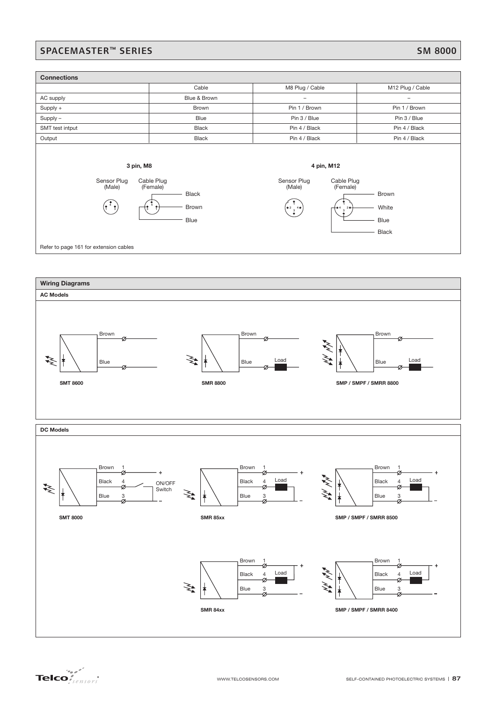### SPACEMASTER™ SERIES SM 8000



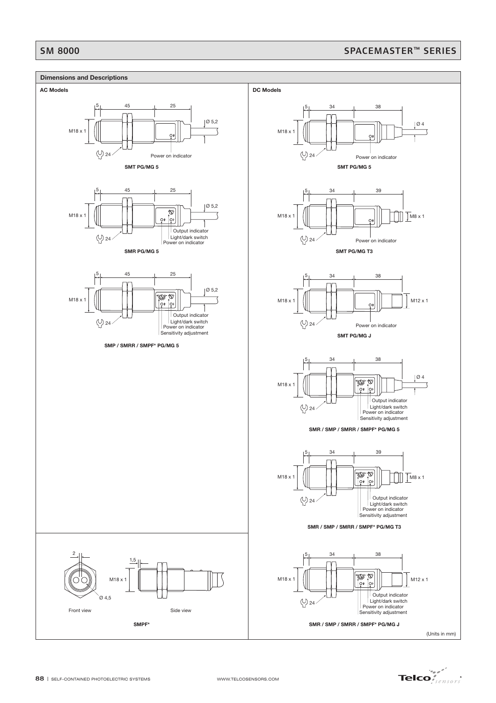## SM 8000 SM 8000 SPACEMASTER™ SERIES





WWW.TELCOSENSORS.COM